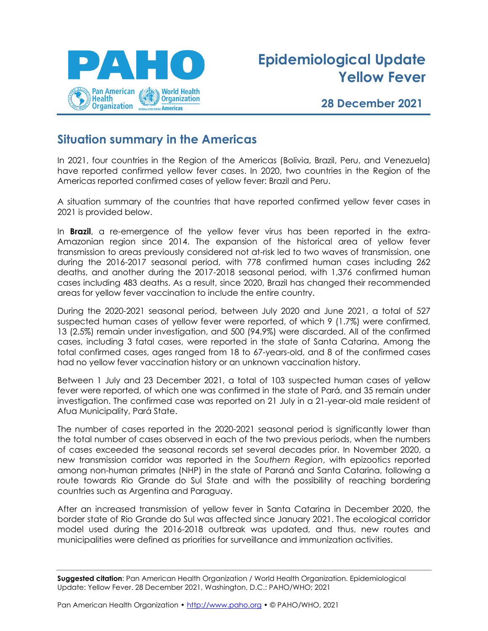

# **Epidemiological Update Yellow Fever**

#### **28 December 2021**

#### **Situation summary in the Americas**

In 2021, four countries in the Region of the Americas (Bolivia, Brazil, Peru, and Venezuela) have reported confirmed yellow fever cases. In 2020, two countries in the Region of the Americas reported confirmed cases of yellow fever: Brazil and Peru.

A situation summary of the countries that have reported confirmed yellow fever cases in 2021 is provided below.

In **Brazil**, a re-emergence of the yellow fever virus has been reported in the extra-Amazonian region since 2014. The expansion of the historical area of yellow fever transmission to areas previously considered not at-risk led to two waves of transmission, one during the 2016-2017 seasonal period, with 778 confirmed human cases including 262 deaths, and another during the 2017-2018 seasonal period, with 1,376 confirmed human cases including 483 deaths. As a result, since 2020, Brazil has changed their recommended areas for yellow fever vaccination to include the entire country.

During the 2020-2021 seasonal period, between July 2020 and June 2021, a total of 527 suspected human cases of yellow fever were reported, of which 9 (1.7%) were confirmed, 13 (2.5%) remain under investigation, and 500 (94.9%) were discarded. All of the confirmed cases, including 3 fatal cases, were reported in the state of Santa Catarina. Among the total confirmed cases, ages ranged from 18 to 67-years-old, and 8 of the confirmed cases had no yellow fever vaccination history or an unknown vaccination history.

Between 1 July and 23 December 2021, a total of 103 suspected human cases of yellow fever were reported, of which one was confirmed in the state of Pará, and 35 remain under investigation. The confirmed case was reported on 21 July in a 21-year-old male resident of Afua Municipality, Pará State.

The number of cases reported in the 2020-2021 seasonal period is significantly lower than the total number of cases observed in each of the two previous periods, when the numbers of cases exceeded the seasonal records set several decades prior. In November 2020, a new transmission corridor was reported in the *Southern Region*, with epizootics reported among non-human primates (NHP) in the state of Paraná and Santa Catarina, following a route towards Rio Grande do Sul State and with the possibility of reaching bordering countries such as Argentina and Paraguay.

After an increased transmission of yellow fever in Santa Catarina in December 2020, the border state of Rio Grande do Sul was affected since January 2021. The ecological corridor model used during the 2016-2018 outbreak was updated, and thus, new routes and municipalities were defined as priorities for surveillance and immunization activities.

**Suggested citation**: Pan American Health Organization / World Health Organization. Epidemiological Update: Yellow Fever. 28 December 2021, Washington, D.C.: PAHO/WHO; 2021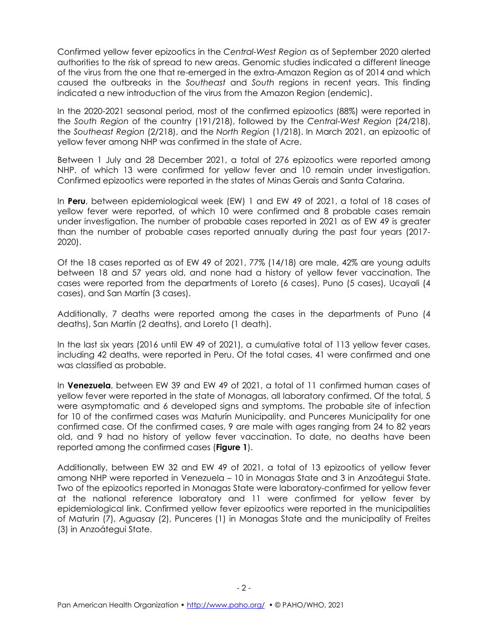Confirmed yellow fever epizootics in the *Central-West Region* as of September 2020 alerted authorities to the risk of spread to new areas. Genomic studies indicated a different lineage of the virus from the one that re-emerged in the extra-Amazon Region as of 2014 and which caused the outbreaks in the *Southeast* and *South* regions in recent years. This finding indicated a new introduction of the virus from the Amazon Region (endemic).

In the 2020-2021 seasonal period, most of the confirmed epizootics (88%) were reported in the *South Region* of the country (191/218), followed by the *Central-West Region* (24/218), the *Southeast Region* (2/218), and the *North Region* (1/218). In March 2021, an epizootic of yellow fever among NHP was confirmed in the state of Acre.

Between 1 July and 28 December 2021, a total of 276 epizootics were reported among NHP, of which 13 were confirmed for yellow fever and 10 remain under investigation. Confirmed epizootics were reported in the states of Minas Gerais and Santa Catarina.

In **Peru**, between epidemiological week (EW) 1 and EW 49 of 2021, a total of 18 cases of yellow fever were reported, of which 10 were confirmed and 8 probable cases remain under investigation. The number of probable cases reported in 2021 as of EW 49 is greater than the number of probable cases reported annually during the past four years (2017- 2020).

Of the 18 cases reported as of EW 49 of 2021, 77% (14/18) are male, 42% are young adults between 18 and 57 years old, and none had a history of yellow fever vaccination. The cases were reported from the departments of Loreto (6 cases), Puno (5 cases), Ucayali (4 cases), and San Martín (3 cases).

Additionally, 7 deaths were reported among the cases in the departments of Puno (4 deaths), San Martín (2 deaths), and Loreto (1 death).

In the last six years (2016 until EW 49 of 2021), a cumulative total of 113 yellow fever cases, including 42 deaths, were reported in Peru. Of the total cases, 41 were confirmed and one was classified as probable.

In **Venezuela**, between EW 39 and EW 49 of 2021, a total of 11 confirmed human cases of yellow fever were reported in the state of Monagas, all laboratory confirmed. Of the total, 5 were asymptomatic and 6 developed signs and symptoms. The probable site of infection for 10 of the confirmed cases was Maturín Municipality, and Punceres Municipality for one confirmed case. Of the confirmed cases, 9 are male with ages ranging from 24 to 82 years old, and 9 had no history of yellow fever vaccination. To date, no deaths have been reported among the confirmed cases (**Figure 1**).

Additionally, between EW 32 and EW 49 of 2021, a total of 13 epizootics of yellow fever among NHP were reported in Venezuela – 10 in Monagas State and 3 in Anzoátegui State. Two of the epizootics reported in Monagas State were laboratory-confirmed for yellow fever at the national reference laboratory and 11 were confirmed for yellow fever by epidemiological link. Confirmed yellow fever epizootics were reported in the municipalities of Maturin (7), Aguasay (2), Punceres (1) in Monagas State and the municipality of Freites (3) in Anzoátegui State.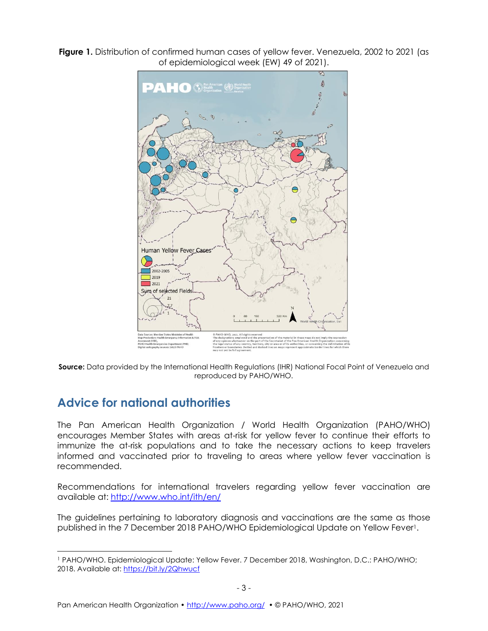**Figure 1.** Distribution of confirmed human cases of yellow fever. Venezuela, 2002 to 2021 (as of epidemiological week (EW) 49 of 2021).



**Source:** Data provided by the International Health Regulations (IHR) National Focal Point of Venezuela and reproduced by PAHO/WHO.

### **Advice for national authorities**

The Pan American Health Organization / World Health Organization (PAHO/WHO) encourages Member States with areas at-risk for yellow fever to continue their efforts to immunize the at-risk populations and to take the necessary actions to keep travelers informed and vaccinated prior to traveling to areas where yellow fever vaccination is recommended.

Recommendations for international travelers regarding yellow fever vaccination are available at: [http://www.who.int/ith/en/](https://na01.safelinks.protection.outlook.com/?url=http%3A%2F%2Fwww.who.int%2Fith%2Fen%2F&data=02%7C01%7Cheuschenf%40paho.org%7Ccfba94caa1df433c597708d6879f7d6b%7Ce610e79c2ec04e0f8a141e4b101519f7%7C0%7C0%7C636845518203344279&sdata=h5qV5YNLZibU2%2BlRCRTDrR1bmOegNd8ekVL3fNUd9hA%3D&reserved=0)

The guidelines pertaining to laboratory diagnosis and vaccinations are the same as those published in the 7 December 2018 PAHO/WHO Epidemiological Update on Yellow Fever1.

<sup>1</sup> PAHO/WHO. Epidemiological Update: Yellow Fever. 7 December 2018, Washington, D.C.: PAHO/WHO; 2018. Available at: [https://bit.ly/2Qhwucf](https://na01.safelinks.protection.outlook.com/?url=https%3A%2F%2Fbit.ly%2F2Qhwucf&data=02%7C01%7Cswansonkri%40paho.org%7Cec1b4e3e9e434cbc301008d65c9ff950%7Ce610e79c2ec04e0f8a141e4b101519f7%7C0%7C0%7C636798239493173491&sdata=QePvOoQDRAuDq3vNudMFGbX3vdF60ESjefd3UT%2BHB4s%3D&reserved=0)